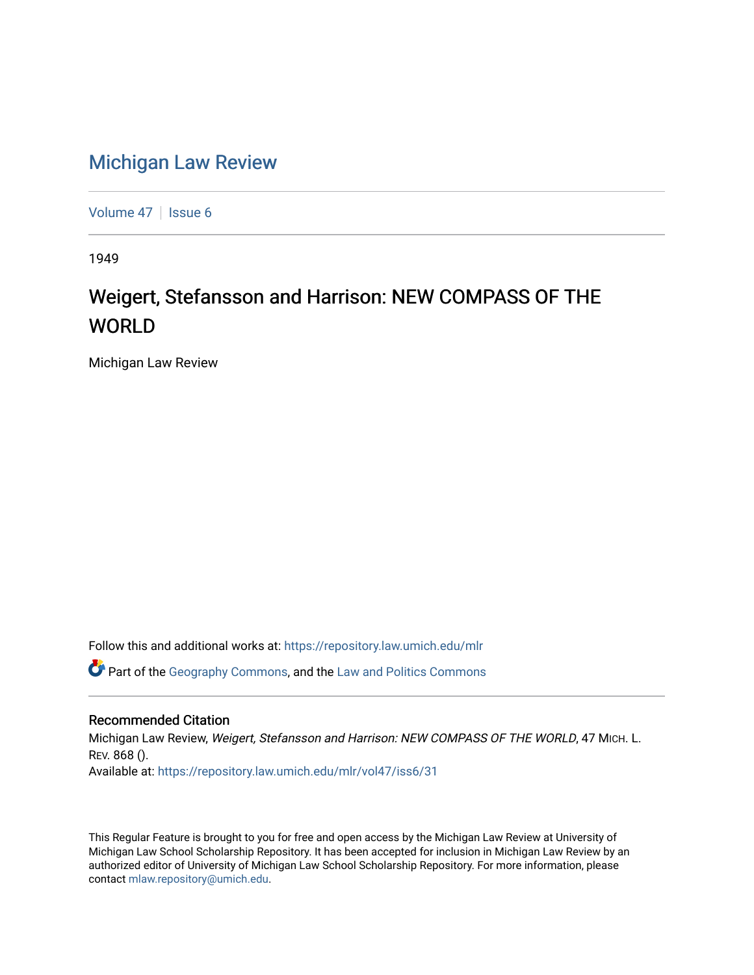## [Michigan Law Review](https://repository.law.umich.edu/mlr)

[Volume 47](https://repository.law.umich.edu/mlr/vol47) | [Issue 6](https://repository.law.umich.edu/mlr/vol47/iss6)

1949

## Weigert, Stefansson and Harrison: NEW COMPASS OF THE WORLD

Michigan Law Review

Follow this and additional works at: [https://repository.law.umich.edu/mlr](https://repository.law.umich.edu/mlr?utm_source=repository.law.umich.edu%2Fmlr%2Fvol47%2Fiss6%2F31&utm_medium=PDF&utm_campaign=PDFCoverPages) 

**C** Part of the [Geography Commons,](http://network.bepress.com/hgg/discipline/354?utm_source=repository.law.umich.edu%2Fmlr%2Fvol47%2Fiss6%2F31&utm_medium=PDF&utm_campaign=PDFCoverPages) and the [Law and Politics Commons](http://network.bepress.com/hgg/discipline/867?utm_source=repository.law.umich.edu%2Fmlr%2Fvol47%2Fiss6%2F31&utm_medium=PDF&utm_campaign=PDFCoverPages)

## Recommended Citation

Michigan Law Review, Weigert, Stefansson and Harrison: NEW COMPASS OF THE WORLD, 47 MICH. L. REV. 868 (). Available at: [https://repository.law.umich.edu/mlr/vol47/iss6/31](https://repository.law.umich.edu/mlr/vol47/iss6/31?utm_source=repository.law.umich.edu%2Fmlr%2Fvol47%2Fiss6%2F31&utm_medium=PDF&utm_campaign=PDFCoverPages) 

This Regular Feature is brought to you for free and open access by the Michigan Law Review at University of Michigan Law School Scholarship Repository. It has been accepted for inclusion in Michigan Law Review by an authorized editor of University of Michigan Law School Scholarship Repository. For more information, please contact [mlaw.repository@umich.edu](mailto:mlaw.repository@umich.edu).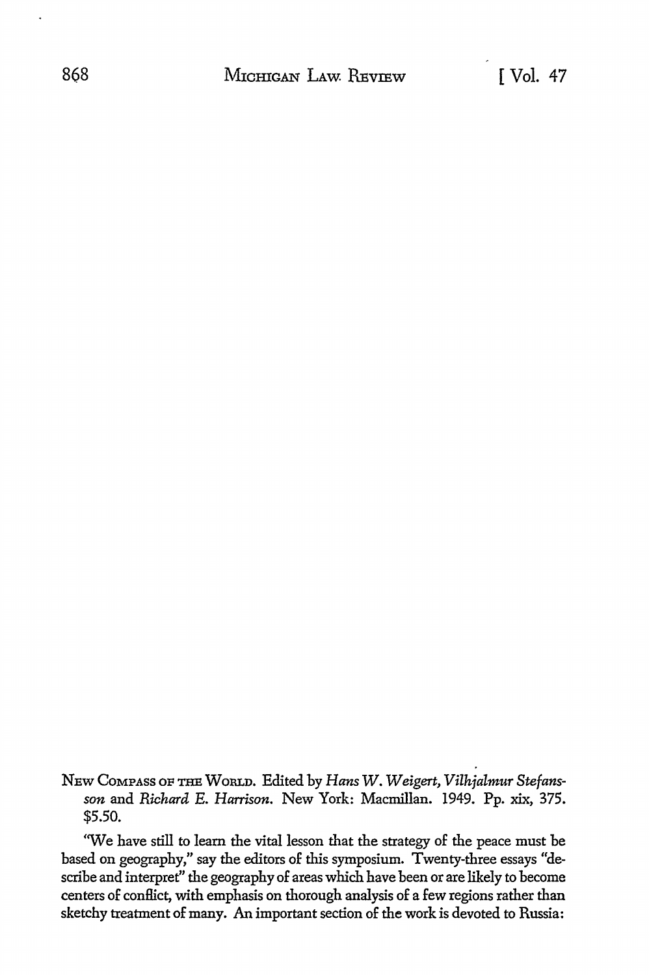NEw COMPASS OF THE WoRLD. Edited by *Hans W. Weigert, Vilhjalmur Stefansson* and *Richard* E. *Harrison.* New York: Macmillan. 1949. Pp. xix, 375. \$5.50.

'We have still to learn the vital lesson that the strategy of the peace must be based on geography," say the editors of this symposium. Twenty-three essays "describe and interpret" the geography of areas which have been or are likely to become centers of conilict, with emphasis on thorough analysis of a few regions rather than sketchy treatment of many. An important section of the work is devoted to Russia: